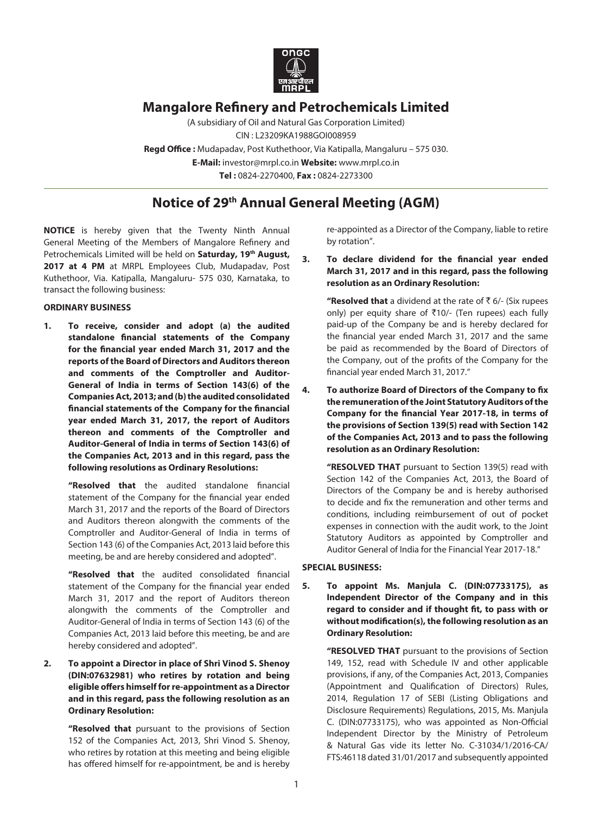

## **Mangalore Refinery and Petrochemicals Limited**

(A subsidiary of Oil and Natural Gas Corporation Limited) CIN : L23209KA1988GOI008959 **Regd Office :** Mudapadav, Post Kuthethoor, Via Katipalla, Mangaluru – 575 030. **E-Mail:** investor@mrpl.co.in **Website:** www.mrpl.co.in **Tel :** 0824-2270400, **Fax :** 0824-2273300

# **Notice of 29th Annual General Meeting (AGM)**

**NOTICE** is hereby given that the Twenty Ninth Annual General Meeting of the Members of Mangalore Refinery and Petrochemicals Limited will be held on **Saturday, 19th August,**  2017 at 4 PM at MRPL Employees Club, Mudapadav, Post Kuthethoor, Via. Katipalla, Mangaluru- 575 030, Karnataka, to transact the following business:

#### **ORDINARY BUSINESS**

**1. To receive, consider and adopt (a) the audited standalone financial statements of the Company for the financial year ended March 31, 2017 and the reports of the Board of Directors and Auditors thereon and comments of the Comptroller and Auditor-General of India in terms of Section 143(6) of the Companies Act, 2013; and (b) the audited consolidated financial statements of the Company for the financial year ended March 31, 2017, the report of Auditors thereon and comments of the Comptroller and Auditor-General of India in terms of Section 143(6) of the Companies Act, 2013 and in this regard, pass the following resolutions as Ordinary Resolutions:**

**"Resolved that** the audited standalone financial statement of the Company for the financial year ended March 31, 2017 and the reports of the Board of Directors and Auditors thereon alongwith the comments of the Comptroller and Auditor-General of India in terms of Section 143 (6) of the Companies Act, 2013 laid before this meeting, be and are hereby considered and adopted".

**"Resolved that** the audited consolidated financial statement of the Company for the financial year ended March 31, 2017 and the report of Auditors thereon alongwith the comments of the Comptroller and Auditor-General of India in terms of Section 143 (6) of the Companies Act, 2013 laid before this meeting, be and are hereby considered and adopted".

**2. To appoint a Director in place of Shri Vinod S. Shenoy (DIN:07632981) who retires by rotation and being eligible offers himself for re-appointment as a Director and in this regard, pass the following resolution as an Ordinary Resolution:**

> **"Resolved that** pursuant to the provisions of Section 152 of the Companies Act, 2013, Shri Vinod S. Shenoy, who retires by rotation at this meeting and being eligible has offered himself for re-appointment, be and is hereby

re-appointed as a Director of the Company, liable to retire by rotation".

**3. To declare dividend for the financial year ended March 31, 2017 and in this regard, pass the following resolution as an Ordinary Resolution:**

**"Resolved that** a dividend at the rate of  $\bar{\tau}$  6/- (Six rupees only) per equity share of  $\overline{\tau}10/-\tau$  (Ten rupees) each fully paid-up of the Company be and is hereby declared for the financial year ended March 31, 2017 and the same be paid as recommended by the Board of Directors of the Company, out of the profits of the Company for the financial year ended March 31, 2017."

**4. To authorize Board of Directors of the Company to fix the remuneration of the Joint Statutory Auditors of the Company for the financial Year 2017-18, in terms of the provisions of Section 139(5) read with Section 142 of the Companies Act, 2013 and to pass the following resolution as an Ordinary Resolution:**

**"RESOLVED THAT** pursuant to Section 139(5) read with Section 142 of the Companies Act, 2013, the Board of Directors of the Company be and is hereby authorised to decide and fix the remuneration and other terms and conditions, including reimbursement of out of pocket expenses in connection with the audit work, to the Joint Statutory Auditors as appointed by Comptroller and Auditor General of India for the Financial Year 2017-18."

#### **SPECIAL BUSINESS:**

**5. To appoint Ms. Manjula C. (DIN:07733175), as Independent Director of the Company and in this regard to consider and if thought fit, to pass with or without modification(s), the following resolution as an Ordinary Resolution:**

**"RESOLVED THAT** pursuant to the provisions of Section 149, 152, read with Schedule IV and other applicable provisions, if any, of the Companies Act, 2013, Companies (Appointment and Qualification of Directors) Rules, 2014, Regulation 17 of SEBI (Listing Obligations and Disclosure Requirements) Regulations, 2015, Ms. Manjula C. (DIN:07733175), who was appointed as Non-Official Independent Director by the Ministry of Petroleum & Natural Gas vide its letter No. C-31034/1/2016-CA/ FTS:46118 dated 31/01/2017 and subsequently appointed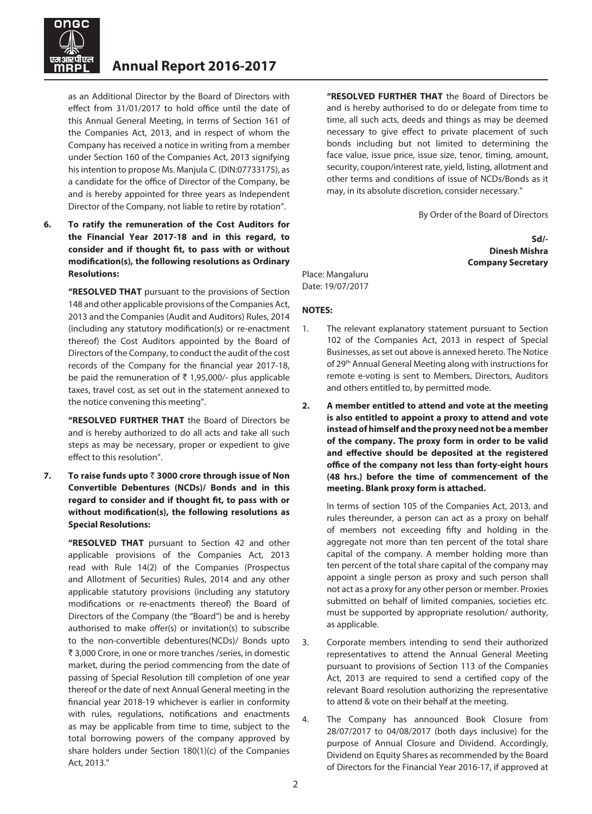

# **Annual Report 2016-2017**

as an Additional Director by the Board of Directors with effect from 31/01/2017 to hold office until the date of this Annual General Meeting, in terms of Section 161 of the Companies Act, 2013, and in respect of whom the Company has received a notice in writing from a member under Section 160 of the Companies Act, 2013 signifying his intention to propose Ms. Manjula C. (DIN:07733175), as a candidate for the office of Director of the Company, be and is hereby appointed for three years as Independent Director of the Company, not liable to retire by rotation".

**6. To ratify the remuneration of the Cost Auditors for the Financial Year 2017-18 and in this regard, to consider and if thought fit, to pass with or without modification(s), the following resolutions as Ordinary Resolutions:**

**"RESOLVED THAT** pursuant to the provisions of Section 148 and other applicable provisions of the Companies Act, 2013 and the Companies (Audit and Auditors) Rules, 2014 (including any statutory modification(s) or re-enactment thereof) the Cost Auditors appointed by the Board of Directors of the Company, to conduct the audit of the cost records of the Company for the financial year 2017-18, be paid the remuneration of  $\bar{\tau}$  1,95,000/- plus applicable taxes, travel cost, as set out in the statement annexed to the notice convening this meeting".

**"RESOLVED FURTHER THAT** the Board of Directors be and is hereby authorized to do all acts and take all such steps as may be necessary, proper or expedient to give effect to this resolution".

**7. To raise funds upto** ` **3000 crore through issue of Non Convertible Debentures (NCDs)/ Bonds and in this regard to consider and if thought fit, to pass with or without modification(s), the following resolutions as Special Resolutions:**

> **"RESOLVED THAT** pursuant to Section 42 and other applicable provisions of the Companies Act, 2013 read with Rule 14(2) of the Companies (Prospectus and Allotment of Securities) Rules, 2014 and any other applicable statutory provisions (including any statutory modifications or re-enactments thereof) the Board of Directors of the Company (the "Board") be and is hereby authorised to make offer(s) or invitation(s) to subscribe to the non-convertible debentures(NCDs)/ Bonds upto ` 3,000 Crore, in one or more tranches /series, in domestic market, during the period commencing from the date of passing of Special Resolution till completion of one year thereof or the date of next Annual General meeting in the financial year 2018-19 whichever is earlier in conformity with rules, regulations, notifications and enactments as may be applicable from time to time, subject to the total borrowing powers of the company approved by share holders under Section 180(1)(c) of the Companies Act, 2013."

**"RESOLVED FURTHER THAT** the Board of Directors be and is hereby authorised to do or delegate from time to time, all such acts, deeds and things as may be deemed necessary to give effect to private placement of such bonds including but not limited to determining the face value, issue price, issue size, tenor, timing, amount, security, coupon/interest rate, yield, listing, allotment and other terms and conditions of issue of NCDs/Bonds as it may, in its absolute discretion, consider necessary."

By Order of the Board of Directors

**Sd/- Dinesh Mishra Company Secretary**

Place: Mangaluru Date: 19/07/2017

#### **NOTES:**

- 1. The relevant explanatory statement pursuant to Section 102 of the Companies Act, 2013 in respect of Special Businesses, as set out above is annexed hereto. The Notice of 29th Annual General Meeting along with instructions for remote e-voting is sent to Members, Directors, Auditors and others entitled to, by permitted mode.
- **2. A member entitled to attend and vote at the meeting is also entitled to appoint a proxy to attend and vote instead of himself and the proxy need not be a member of the company. The proxy form in order to be valid and effective should be deposited at the registered office of the company not less than forty-eight hours (48 hrs.) before the time of commencement of the meeting. Blank proxy form is attached.**

 In terms of section 105 of the Companies Act, 2013, and rules thereunder, a person can act as a proxy on behalf of members not exceeding fifty and holding in the aggregate not more than ten percent of the total share capital of the company. A member holding more than ten percent of the total share capital of the company may appoint a single person as proxy and such person shall not act as a proxy for any other person or member. Proxies submitted on behalf of limited companies, societies etc. must be supported by appropriate resolution/ authority, as applicable.

- 3. Corporate members intending to send their authorized representatives to attend the Annual General Meeting pursuant to provisions of Section 113 of the Companies Act, 2013 are required to send a certified copy of the relevant Board resolution authorizing the representative to attend & vote on their behalf at the meeting.
- 4. The Company has announced Book Closure from 28/07/2017 to 04/08/2017 (both days inclusive) for the purpose of Annual Closure and Dividend. Accordingly, Dividend on Equity Shares as recommended by the Board of Directors for the Financial Year 2016-17, if approved at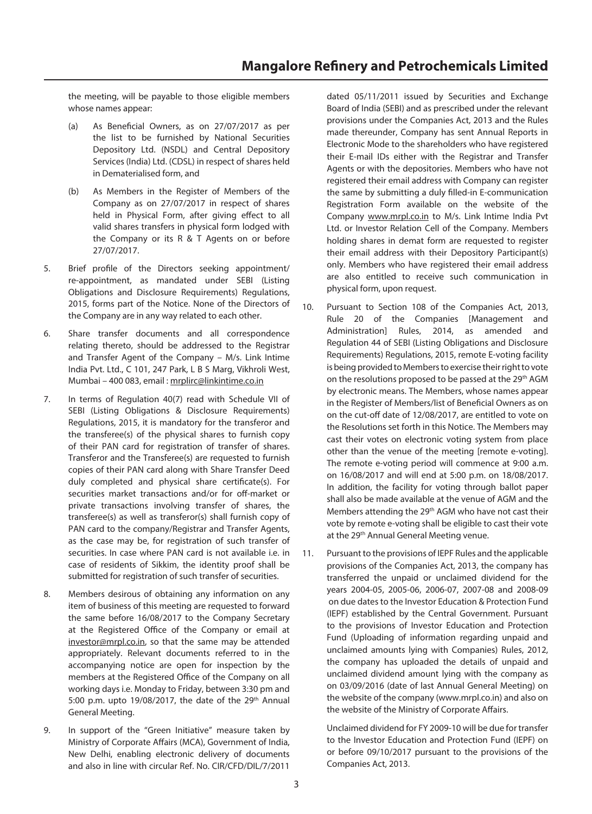the meeting, will be payable to those eligible members whose names appear:

- (a) As Beneficial Owners, as on 27/07/2017 as per the list to be furnished by National Securities Depository Ltd. (NSDL) and Central Depository Services (India) Ltd. (CDSL) in respect of shares held in Dematerialised form, and
- (b) As Members in the Register of Members of the Company as on 27/07/2017 in respect of shares held in Physical Form, after giving effect to all valid shares transfers in physical form lodged with the Company or its R & T Agents on or before 27/07/2017.
- 5. Brief profile of the Directors seeking appointment/ re-appointment, as mandated under SEBI (Listing Obligations and Disclosure Requirements) Regulations, 2015, forms part of the Notice. None of the Directors of the Company are in any way related to each other.
- 6. Share transfer documents and all correspondence relating thereto, should be addressed to the Registrar and Transfer Agent of the Company – M/s. Link Intime India Pvt. Ltd., C 101, 247 Park, L B S Marg, Vikhroli West, Mumbai – 400 083, email : mrplirc@linkintime.co.in
- 7. In terms of Regulation 40(7) read with Schedule VII of SEBI (Listing Obligations & Disclosure Requirements) Regulations, 2015, it is mandatory for the transferor and the transferee(s) of the physical shares to furnish copy of their PAN card for registration of transfer of shares. Transferor and the Transferee(s) are requested to furnish copies of their PAN card along with Share Transfer Deed duly completed and physical share certificate(s). For securities market transactions and/or for off-market or private transactions involving transfer of shares, the transferee(s) as well as transferor(s) shall furnish copy of PAN card to the company/Registrar and Transfer Agents, as the case may be, for registration of such transfer of securities. In case where PAN card is not available i.e. in case of residents of Sikkim, the identity proof shall be submitted for registration of such transfer of securities.
- 8. Members desirous of obtaining any information on any item of business of this meeting are requested to forward the same before 16/08/2017 to the Company Secretary at the Registered Office of the Company or email at investor@mrpl.co.in, so that the same may be attended appropriately. Relevant documents referred to in the accompanying notice are open for inspection by the members at the Registered Office of the Company on all working days i.e. Monday to Friday, between 3:30 pm and 5:00 p.m. upto  $19/08/2017$ , the date of the 29<sup>th</sup> Annual General Meeting.
- 9. In support of the "Green Initiative" measure taken by Ministry of Corporate Affairs (MCA), Government of India, New Delhi, enabling electronic delivery of documents and also in line with circular Ref. No. CIR/CFD/DIL/7/2011

dated 05/11/2011 issued by Securities and Exchange Board of India (SEBI) and as prescribed under the relevant provisions under the Companies Act, 2013 and the Rules made thereunder, Company has sent Annual Reports in Electronic Mode to the shareholders who have registered their E-mail IDs either with the Registrar and Transfer Agents or with the depositories. Members who have not registered their email address with Company can register the same by submitting a duly filled-in E-communication Registration Form available on the website of the Company www.mrpl.co.in to M/s. Link Intime India Pvt Ltd. or Investor Relation Cell of the Company. Members holding shares in demat form are requested to register their email address with their Depository Participant(s) only. Members who have registered their email address are also entitled to receive such communication in physical form, upon request.

- 10. Pursuant to Section 108 of the Companies Act, 2013, Rule 20 of the Companies [Management and Administration] Rules, 2014, as amended and Regulation 44 of SEBI (Listing Obligations and Disclosure Requirements) Regulations, 2015, remote E-voting facility is being provided to Members to exercise their right to vote on the resolutions proposed to be passed at the 29<sup>th</sup> AGM by electronic means. The Members, whose names appear in the Register of Members/list of Beneficial Owners as on on the cut-off date of 12/08/2017, are entitled to vote on the Resolutions set forth in this Notice. The Members may cast their votes on electronic voting system from place other than the venue of the meeting [remote e-voting]. The remote e-voting period will commence at 9:00 a.m. on 16/08/2017 and will end at 5:00 p.m. on 18/08/2017. In addition, the facility for voting through ballot paper shall also be made available at the venue of AGM and the Members attending the 29<sup>th</sup> AGM who have not cast their vote by remote e-voting shall be eligible to cast their vote at the 29<sup>th</sup> Annual General Meeting venue.
- 11. Pursuant to the provisions of IEPF Rules and the applicable provisions of the Companies Act, 2013, the company has transferred the unpaid or unclaimed dividend for the years 2004-05, 2005-06, 2006-07, 2007-08 and 2008-09 on due dates to the Investor Education & Protection Fund (IEPF) established by the Central Government. Pursuant to the provisions of Investor Education and Protection Fund (Uploading of information regarding unpaid and unclaimed amounts lying with Companies) Rules, 2012, the company has uploaded the details of unpaid and unclaimed dividend amount lying with the company as on 03/09/2016 (date of last Annual General Meeting) on the website of the company (www.mrpl.co.in) and also on the website of the Ministry of Corporate Affairs.

 Unclaimed dividend for FY 2009-10 will be due for transfer to the Investor Education and Protection Fund (IEPF) on or before 09/10/2017 pursuant to the provisions of the Companies Act, 2013.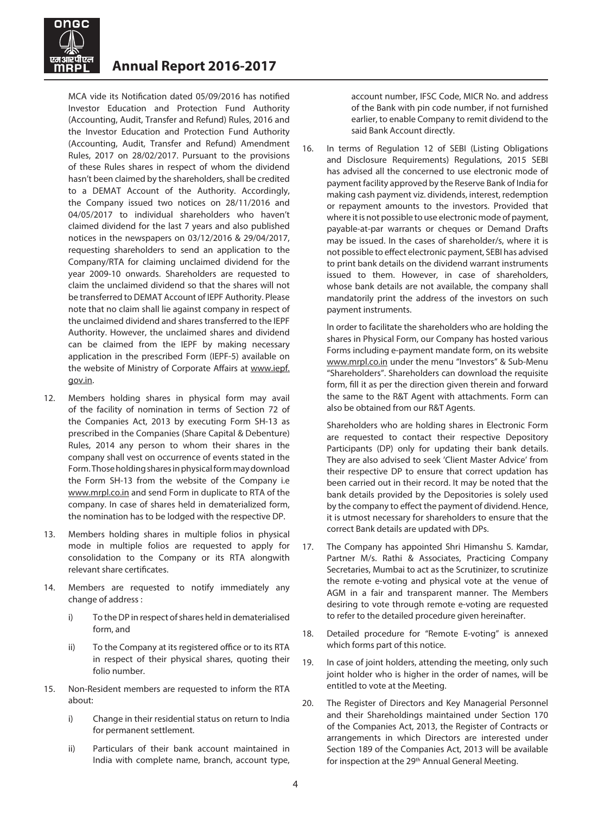

## **Annual Report 2016-2017**

 MCA vide its Notification dated 05/09/2016 has notified Investor Education and Protection Fund Authority (Accounting, Audit, Transfer and Refund) Rules, 2016 and the Investor Education and Protection Fund Authority (Accounting, Audit, Transfer and Refund) Amendment Rules, 2017 on 28/02/2017. Pursuant to the provisions of these Rules shares in respect of whom the dividend hasn't been claimed by the shareholders, shall be credited to a DEMAT Account of the Authority. Accordingly, the Company issued two notices on 28/11/2016 and 04/05/2017 to individual shareholders who haven't claimed dividend for the last 7 years and also published notices in the newspapers on 03/12/2016 & 29/04/2017, requesting shareholders to send an application to the Company/RTA for claiming unclaimed dividend for the year 2009-10 onwards. Shareholders are requested to claim the unclaimed dividend so that the shares will not be transferred to DEMAT Account of IEPF Authority. Please note that no claim shall lie against company in respect of the unclaimed dividend and shares transferred to the IEPF Authority. However, the unclaimed shares and dividend can be claimed from the IEPF by making necessary application in the prescribed Form (IEPF-5) available on the website of Ministry of Corporate Affairs at www.iepf. gov.in.

- 12. Members holding shares in physical form may avail of the facility of nomination in terms of Section 72 of the Companies Act, 2013 by executing Form SH-13 as prescribed in the Companies (Share Capital & Debenture) Rules, 2014 any person to whom their shares in the company shall vest on occurrence of events stated in the Form. Those holding shares in physical form may download the Form SH-13 from the website of the Company i.e www.mrpl.co.in and send Form in duplicate to RTA of the company. In case of shares held in dematerialized form, the nomination has to be lodged with the respective DP.
- 13. Members holding shares in multiple folios in physical mode in multiple folios are requested to apply for consolidation to the Company or its RTA alongwith relevant share certificates.
- 14. Members are requested to notify immediately any change of address :
	- i) To the DP in respect of shares held in dematerialised form, and
	- ii) To the Company at its registered office or to its RTA in respect of their physical shares, quoting their folio number.
- 15. Non-Resident members are requested to inform the RTA about:
	- i) Change in their residential status on return to India for permanent settlement.
	- ii) Particulars of their bank account maintained in India with complete name, branch, account type,

account number, IFSC Code, MICR No. and address of the Bank with pin code number, if not furnished earlier, to enable Company to remit dividend to the said Bank Account directly.

16. In terms of Regulation 12 of SEBI (Listing Obligations and Disclosure Requirements) Regulations, 2015 SEBI has advised all the concerned to use electronic mode of payment facility approved by the Reserve Bank of India for making cash payment viz. dividends, interest, redemption or repayment amounts to the investors. Provided that where it is not possible to use electronic mode of payment, payable-at-par warrants or cheques or Demand Drafts may be issued. In the cases of shareholder/s, where it is not possible to effect electronic payment, SEBI has advised to print bank details on the dividend warrant instruments issued to them. However, in case of shareholders, whose bank details are not available, the company shall mandatorily print the address of the investors on such payment instruments.

 In order to facilitate the shareholders who are holding the shares in Physical Form, our Company has hosted various Forms including e-payment mandate form, on its website www.mrpl.co.in under the menu "Investors" & Sub-Menu "Shareholders". Shareholders can download the requisite form, fill it as per the direction given therein and forward the same to the R&T Agent with attachments. Form can also be obtained from our R&T Agents.

 Shareholders who are holding shares in Electronic Form are requested to contact their respective Depository Participants (DP) only for updating their bank details. They are also advised to seek 'Client Master Advice' from their respective DP to ensure that correct updation has been carried out in their record. It may be noted that the bank details provided by the Depositories is solely used by the company to effect the payment of dividend. Hence, it is utmost necessary for shareholders to ensure that the correct Bank details are updated with DPs.

- 17. The Company has appointed Shri Himanshu S. Kamdar, Partner M/s. Rathi & Associates, Practicing Company Secretaries, Mumbai to act as the Scrutinizer, to scrutinize the remote e-voting and physical vote at the venue of AGM in a fair and transparent manner. The Members desiring to vote through remote e-voting are requested to refer to the detailed procedure given hereinafter.
- 18. Detailed procedure for "Remote E-voting" is annexed which forms part of this notice.
- 19. In case of joint holders, attending the meeting, only such joint holder who is higher in the order of names, will be entitled to vote at the Meeting.
- 20. The Register of Directors and Key Managerial Personnel and their Shareholdings maintained under Section 170 of the Companies Act, 2013, the Register of Contracts or arrangements in which Directors are interested under Section 189 of the Companies Act, 2013 will be available for inspection at the 29th Annual General Meeting.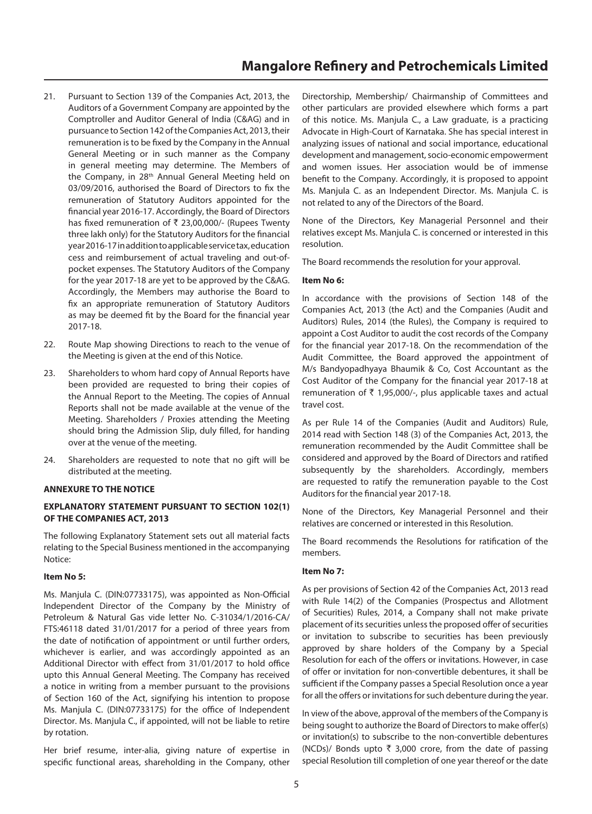# **Mangalore Refinery and Petrochemicals Limited**

- 21. Pursuant to Section 139 of the Companies Act, 2013, the Auditors of a Government Company are appointed by the Comptroller and Auditor General of India (C&AG) and in pursuance to Section 142 of the Companies Act, 2013, their remuneration is to be fixed by the Company in the Annual General Meeting or in such manner as the Company in general meeting may determine. The Members of the Company, in 28<sup>th</sup> Annual General Meeting held on 03/09/2016, authorised the Board of Directors to fix the remuneration of Statutory Auditors appointed for the financial year 2016-17. Accordingly, the Board of Directors has fixed remuneration of  $\bar{\tau}$  23,00,000/- (Rupees Twenty three lakh only) for the Statutory Auditors for the financial year 2016-17 in addition to applicable service tax, education cess and reimbursement of actual traveling and out-ofpocket expenses. The Statutory Auditors of the Company for the year 2017-18 are yet to be approved by the C&AG. Accordingly, the Members may authorise the Board to fix an appropriate remuneration of Statutory Auditors as may be deemed fit by the Board for the financial year 2017-18.
- 22. Route Map showing Directions to reach to the venue of the Meeting is given at the end of this Notice.
- 23. Shareholders to whom hard copy of Annual Reports have been provided are requested to bring their copies of the Annual Report to the Meeting. The copies of Annual Reports shall not be made available at the venue of the Meeting. Shareholders / Proxies attending the Meeting should bring the Admission Slip, duly filled, for handing over at the venue of the meeting.
- 24. Shareholders are requested to note that no gift will be distributed at the meeting.

#### **ANNEXURE TO THE NOTICE**

#### **EXPLANATORY STATEMENT PURSUANT TO SECTION 102(1) OF THE COMPANIES ACT, 2013**

The following Explanatory Statement sets out all material facts relating to the Special Business mentioned in the accompanying Notice:

#### **Item No 5:**

Ms. Manjula C. (DIN:07733175), was appointed as Non-Official Independent Director of the Company by the Ministry of Petroleum & Natural Gas vide letter No. C-31034/1/2016-CA/ FTS:46118 dated 31/01/2017 for a period of three years from the date of notification of appointment or until further orders, whichever is earlier, and was accordingly appointed as an Additional Director with effect from 31/01/2017 to hold office upto this Annual General Meeting. The Company has received a notice in writing from a member pursuant to the provisions of Section 160 of the Act, signifying his intention to propose Ms. Manjula C. (DIN:07733175) for the office of Independent Director. Ms. Manjula C., if appointed, will not be liable to retire by rotation.

Her brief resume, inter-alia, giving nature of expertise in specific functional areas, shareholding in the Company, other Directorship, Membership/ Chairmanship of Committees and other particulars are provided elsewhere which forms a part of this notice. Ms. Manjula C., a Law graduate, is a practicing Advocate in High-Court of Karnataka. She has special interest in analyzing issues of national and social importance, educational development and management, socio-economic empowerment and women issues. Her association would be of immense benefit to the Company. Accordingly, it is proposed to appoint Ms. Manjula C. as an Independent Director. Ms. Manjula C. is not related to any of the Directors of the Board.

None of the Directors, Key Managerial Personnel and their relatives except Ms. Manjula C. is concerned or interested in this resolution.

The Board recommends the resolution for your approval.

#### **Item No 6:**

In accordance with the provisions of Section 148 of the Companies Act, 2013 (the Act) and the Companies (Audit and Auditors) Rules, 2014 (the Rules), the Company is required to appoint a Cost Auditor to audit the cost records of the Company for the financial year 2017-18. On the recommendation of the Audit Committee, the Board approved the appointment of M/s Bandyopadhyaya Bhaumik & Co, Cost Accountant as the Cost Auditor of the Company for the financial year 2017-18 at remuneration of  $\bar{\tau}$  1,95,000/-, plus applicable taxes and actual travel cost.

As per Rule 14 of the Companies (Audit and Auditors) Rule, 2014 read with Section 148 (3) of the Companies Act, 2013, the remuneration recommended by the Audit Committee shall be considered and approved by the Board of Directors and ratified subsequently by the shareholders. Accordingly, members are requested to ratify the remuneration payable to the Cost Auditors for the financial year 2017-18.

None of the Directors, Key Managerial Personnel and their relatives are concerned or interested in this Resolution.

The Board recommends the Resolutions for ratification of the members.

#### **Item No 7:**

As per provisions of Section 42 of the Companies Act, 2013 read with Rule 14(2) of the Companies (Prospectus and Allotment of Securities) Rules, 2014, a Company shall not make private placement of its securities unless the proposed offer of securities or invitation to subscribe to securities has been previously approved by share holders of the Company by a Special Resolution for each of the offers or invitations. However, in case of offer or invitation for non-convertible debentures, it shall be sufficient if the Company passes a Special Resolution once a year for all the offers or invitations for such debenture during the year.

In view of the above, approval of the members of the Company is being sought to authorize the Board of Directors to make offer(s) or invitation(s) to subscribe to the non-convertible debentures (NCDs)/ Bonds upto  $\bar{\tau}$  3,000 crore, from the date of passing special Resolution till completion of one year thereof or the date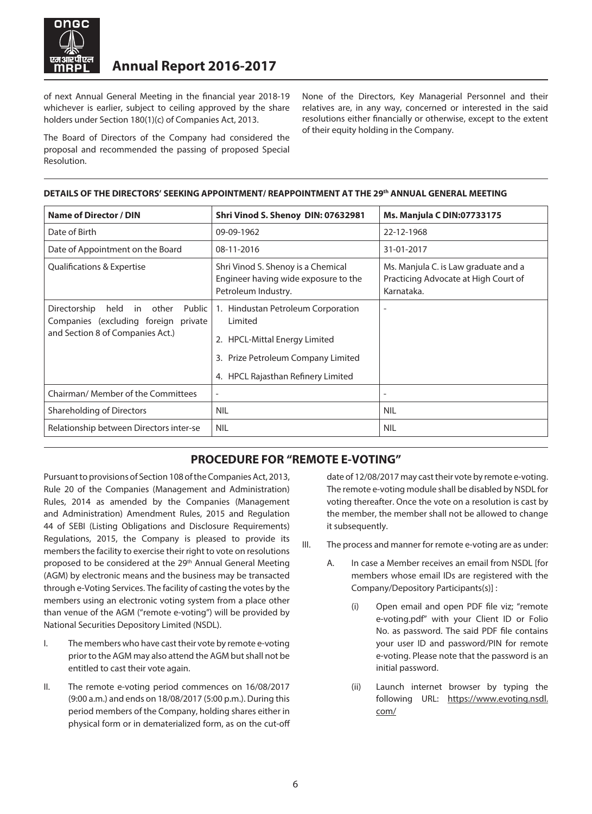

of next Annual General Meeting in the financial year 2018-19 whichever is earlier, subject to ceiling approved by the share holders under Section 180(1)(c) of Companies Act, 2013.

The Board of Directors of the Company had considered the proposal and recommended the passing of proposed Special Resolution.

None of the Directors, Key Managerial Personnel and their relatives are, in any way, concerned or interested in the said resolutions either financially or otherwise, except to the extent of their equity holding in the Company.

| <b>Name of Director / DIN</b>                                                            | Shri Vinod S. Shenoy DIN: 07632981                                                                | <b>Ms. Manjula C DIN:07733175</b>                                                          |
|------------------------------------------------------------------------------------------|---------------------------------------------------------------------------------------------------|--------------------------------------------------------------------------------------------|
| Date of Birth                                                                            | 09-09-1962                                                                                        | 22-12-1968                                                                                 |
| Date of Appointment on the Board                                                         | 08-11-2016                                                                                        | 31-01-2017                                                                                 |
| Qualifications & Expertise                                                               | Shri Vinod S. Shenoy is a Chemical<br>Engineer having wide exposure to the<br>Petroleum Industry. | Ms. Manjula C. is Law graduate and a<br>Practicing Advocate at High Court of<br>Karnataka. |
| Public<br>Directorship<br>held<br>other<br>in<br>Companies (excluding foreign<br>private | 1. Hindustan Petroleum Corporation<br>Limited                                                     | $\overline{\phantom{0}}$                                                                   |
| and Section 8 of Companies Act.)                                                         | 2. HPCL-Mittal Energy Limited                                                                     |                                                                                            |
|                                                                                          | 3. Prize Petroleum Company Limited                                                                |                                                                                            |
|                                                                                          | 4. HPCL Rajasthan Refinery Limited                                                                |                                                                                            |
| Chairman/ Member of the Committees                                                       | $\overline{\phantom{a}}$                                                                          | $\overline{\phantom{a}}$                                                                   |
| <b>Shareholding of Directors</b>                                                         | <b>NIL</b>                                                                                        | <b>NIL</b>                                                                                 |
| Relationship between Directors inter-se                                                  | <b>NIL</b>                                                                                        | <b>NIL</b>                                                                                 |

#### DETAILS OF THE DIRECTORS' SEEKING APPOINTMENT/ REAPPOINTMENT AT THE 29<sup>th</sup> ANNUAL GENERAL MEETING

## **PROCEDURE FOR "REMOTE E-VOTING"**

Pursuant to provisions of Section 108 of the Companies Act, 2013, Rule 20 of the Companies (Management and Administration) Rules, 2014 as amended by the Companies (Management and Administration) Amendment Rules, 2015 and Regulation 44 of SEBI (Listing Obligations and Disclosure Requirements) Regulations, 2015, the Company is pleased to provide its members the facility to exercise their right to vote on resolutions proposed to be considered at the 29<sup>th</sup> Annual General Meeting (AGM) by electronic means and the business may be transacted through e-Voting Services. The facility of casting the votes by the members using an electronic voting system from a place other than venue of the AGM ("remote e-voting") will be provided by National Securities Depository Limited (NSDL).

- I. The members who have cast their vote by remote e-voting prior to the AGM may also attend the AGM but shall not be entitled to cast their vote again.
- II. The remote e-voting period commences on 16/08/2017 (9:00 a.m.) and ends on 18/08/2017 (5:00 p.m.). During this period members of the Company, holding shares either in physical form or in dematerialized form, as on the cut-off

date of 12/08/2017 may cast their vote by remote e-voting. The remote e-voting module shall be disabled by NSDL for voting thereafter. Once the vote on a resolution is cast by the member, the member shall not be allowed to change it subsequently.

- III. The process and manner for remote e-voting are as under:
	- A. In case a Member receives an email from NSDL [for members whose email IDs are registered with the Company/Depository Participants(s)] :
		- (i) Open email and open PDF file viz; "remote e-voting.pdf" with your Client ID or Folio No. as password. The said PDF file contains your user ID and password/PIN for remote e-voting. Please note that the password is an initial password.
		- (ii) Launch internet browser by typing the following URL: https://www.evoting.nsdl. com/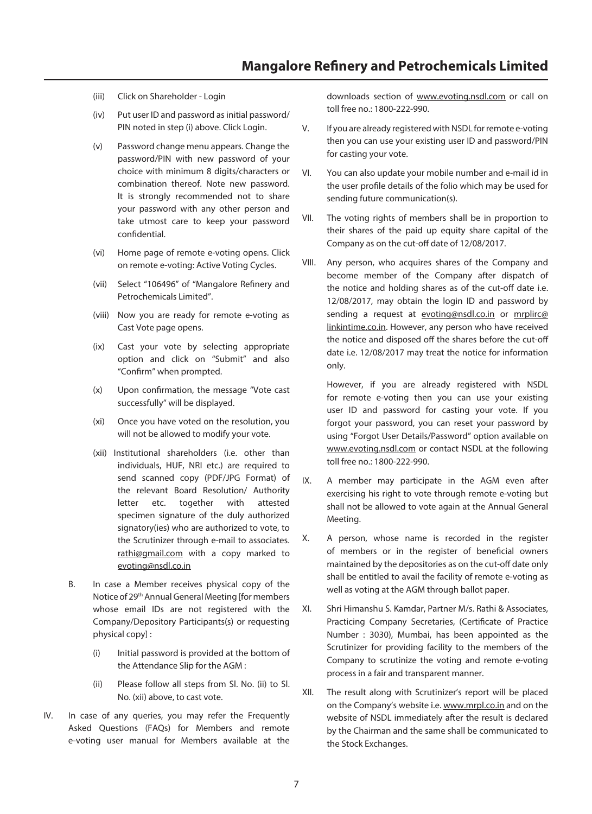- (iii) Click on Shareholder Login
- (iv) Put user ID and password as initial password/ PIN noted in step (i) above. Click Login.
- (v) Password change menu appears. Change the password/PIN with new password of your choice with minimum 8 digits/characters or combination thereof. Note new password. It is strongly recommended not to share your password with any other person and take utmost care to keep your password confidential.
- (vi) Home page of remote e-voting opens. Click on remote e-voting: Active Voting Cycles.
- (vii) Select "106496" of "Mangalore Refinery and Petrochemicals Limited".
- (viii) Now you are ready for remote e-voting as Cast Vote page opens.
- (ix) Cast your vote by selecting appropriate option and click on "Submit" and also "Confirm" when prompted.
- (x) Upon confirmation, the message "Vote cast successfully" will be displayed.
- (xi) Once you have voted on the resolution, you will not be allowed to modify your vote.
- (xii) Institutional shareholders (i.e. other than individuals, HUF, NRI etc.) are required to send scanned copy (PDF/JPG Format) of the relevant Board Resolution/ Authority letter etc. together with attested specimen signature of the duly authorized signatory(ies) who are authorized to vote, to the Scrutinizer through e-mail to associates. rathi@gmail.com with a copy marked to evoting@nsdl.co.in
- B. In case a Member receives physical copy of the Notice of 29th Annual General Meeting [for members whose email IDs are not registered with the Company/Depository Participants(s) or requesting physical copy] :
	- (i) Initial password is provided at the bottom of the Attendance Slip for the AGM :
	- (ii) Please follow all steps from Sl. No. (ii) to Sl. No. (xii) above, to cast vote.
- IV. In case of any queries, you may refer the Frequently Asked Questions (FAQs) for Members and remote e-voting user manual for Members available at the

downloads section of www.evoting.nsdl.com or call on toll free no.: 1800-222-990.

- V. If you are already registered with NSDL for remote e-voting then you can use your existing user ID and password/PIN for casting your vote.
- VI. You can also update your mobile number and e-mail id in the user profile details of the folio which may be used for sending future communication(s).
- VII. The voting rights of members shall be in proportion to their shares of the paid up equity share capital of the Company as on the cut-off date of 12/08/2017.
- VIII. Any person, who acquires shares of the Company and become member of the Company after dispatch of the notice and holding shares as of the cut-off date i.e. 12/08/2017, may obtain the login ID and password by sending a request at evoting@nsdl.co.in or mrplirc@ linkintime.co.in. However, any person who have received the notice and disposed off the shares before the cut-off date i.e. 12/08/2017 may treat the notice for information only.

 However, if you are already registered with NSDL for remote e-voting then you can use your existing user ID and password for casting your vote. If you forgot your password, you can reset your password by using "Forgot User Details/Password" option available on www.evoting.nsdl.com or contact NSDL at the following toll free no.: 1800-222-990.

- IX. A member may participate in the AGM even after exercising his right to vote through remote e-voting but shall not be allowed to vote again at the Annual General Meeting.
- X. A person, whose name is recorded in the register of members or in the register of beneficial owners maintained by the depositories as on the cut-off date only shall be entitled to avail the facility of remote e-voting as well as voting at the AGM through ballot paper.
- XI. Shri Himanshu S. Kamdar, Partner M/s. Rathi & Associates, Practicing Company Secretaries, (Certificate of Practice Number : 3030), Mumbai, has been appointed as the Scrutinizer for providing facility to the members of the Company to scrutinize the voting and remote e-voting process in a fair and transparent manner.
- XII. The result along with Scrutinizer's report will be placed on the Company's website i.e. www.mrpl.co.in and on the website of NSDL immediately after the result is declared by the Chairman and the same shall be communicated to the Stock Exchanges.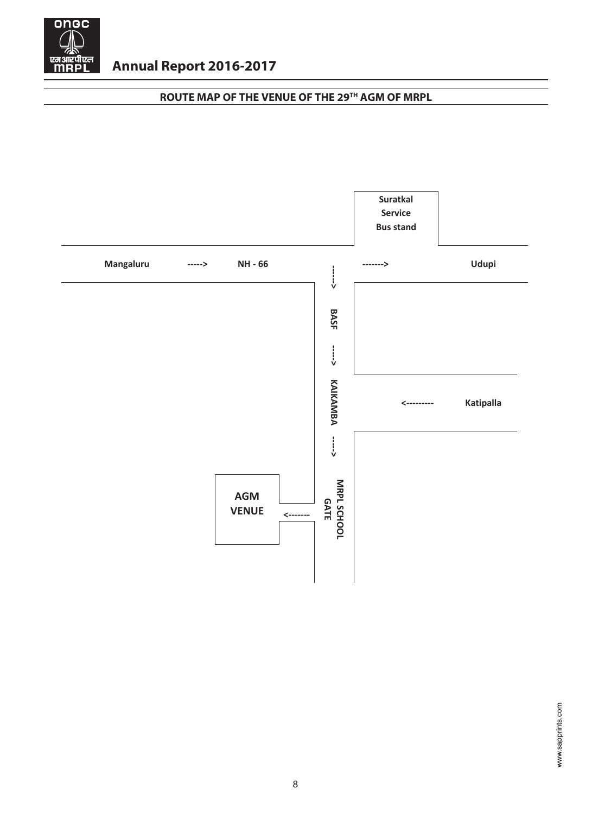

# **ROUTE MAP OF THE VENUE OF THE 29TH AGM OF MRPL**

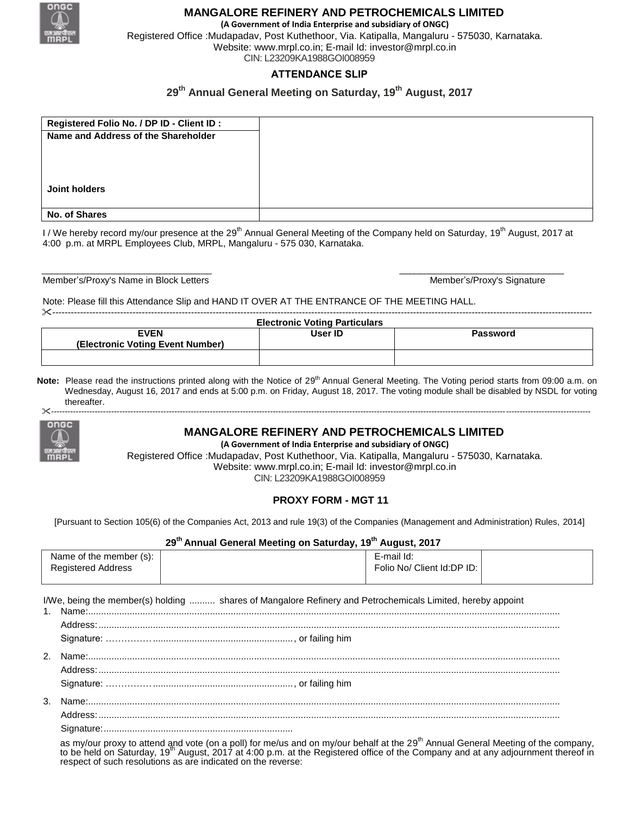

## **MANGALORE REFINERY AND PETROCHEMICALS LIMITED**

**(A Government of India Enterprise and subsidiary of ONGC)** Registered Office :Mudapadav, Post Kuthethoor, Via. Katipalla, Mangaluru - 575030, Karnataka. Website: [www.mrpl.co.in;](http://www.mrpl.co.in/) E-mail Id: investor@mrpl.co.in CIN: L23209KA1988GOI008959

### **ATTENDANCE SLIP**

## **29 th Annual General Meeting on Saturday, 19th August, 2017**

| Registered Folio No. / DP ID - Client ID : |  |
|--------------------------------------------|--|
| Name and Address of the Shareholder        |  |
|                                            |  |
|                                            |  |
|                                            |  |
| Joint holders                              |  |
|                                            |  |
| No. of Shares                              |  |

I / We hereby record my/our presence at the 29<sup>th</sup> Annual General Meeting of the Company held on Saturday, 19<sup>th</sup> August, 2017 at 4:00 p.m. at MRPL Employees Club, MRPL, Mangaluru - 575 030, Karnataka.

 $\frac{1}{2}$  ,  $\frac{1}{2}$  ,  $\frac{1}{2}$  ,  $\frac{1}{2}$  ,  $\frac{1}{2}$  ,  $\frac{1}{2}$  ,  $\frac{1}{2}$  ,  $\frac{1}{2}$  ,  $\frac{1}{2}$  ,  $\frac{1}{2}$  ,  $\frac{1}{2}$  ,  $\frac{1}{2}$  ,  $\frac{1}{2}$  ,  $\frac{1}{2}$  ,  $\frac{1}{2}$  ,  $\frac{1}{2}$  ,  $\frac{1}{2}$  ,  $\frac{1}{2}$  ,  $\frac{1$ 

Member's/Proxy's Name in Block Letters Member's/Proxy's Signature

Note: Please fill this Attendance Slip and HAND IT OVER AT THE ENTRANCE OF THE MEETING HALL.

| <b>Electronic Voting Particulars</b> |          |  |  |  |  |
|--------------------------------------|----------|--|--|--|--|
| User ID                              | Password |  |  |  |  |
|                                      |          |  |  |  |  |
|                                      |          |  |  |  |  |
|                                      |          |  |  |  |  |

Note: Please read the instructions printed along with the Notice of 29<sup>th</sup> Annual General Meeting. The Voting period starts from 09:00 a.m. on Wednesday, August 16, 2017 and ends at 5:00 p.m. on Friday, August 18, 2017. The voting module shall be disabled by NSDL for voting thereafter.

-----------------------------------------------------------------------------------------------------------------------------------------------------------------------------------------------------



## **MANGALORE REFINERY AND PETROCHEMICALS LIMITED**

**(A Government of India Enterprise and subsidiary of ONGC)**

Registered Office :Mudapadav, Post Kuthethoor, Via. Katipalla, Mangaluru - 575030, Karnataka. Website: [www.mrpl.co.in;](http://www.mrpl.co.in/) E-mail Id: investor@mrpl.co.in

CIN: L23209KA1988GOI008959

### **PROXY FORM - MGT 11**

[Pursuant to Section 105(6) of the Companies Act, 2013 and rule 19(3) of the Companies (Management and Administration) Rules, 2014]

### **29 th Annual General Meeting on Saturday, 19th August, 2017**

| Name of the member (s):   | E-mail Id:                 |  |
|---------------------------|----------------------------|--|
| <b>Registered Address</b> | Folio No/ Client Id:DP ID: |  |
|                           |                            |  |

I/We, being the member(s) holding .......... shares of Mangalore Refinery and Petrochemicals Limited, hereby appoint

as my/our proxy to attend and vote (on a poll) for me/us and on my/our behalf at the 29<sup>th</sup> Annual General Meeting of the company, to be held on Saturday, 19<sup>th</sup> August, 2017 at 4:00 p.m. at the Registered office of the Company and at any adjournment thereof in respect of such resolutions as are indicated on the reverse: